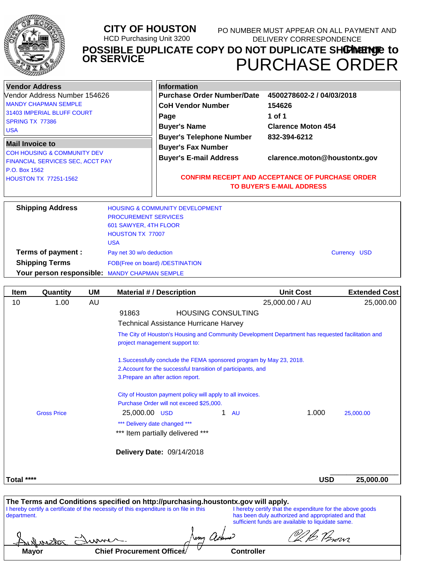

#### **CITY OF HOUSTON** HCD Purchasing Unit 3200 **POSSIBLE DUPLICATE COPY DO NOT DUPLICATE SH<b>ŒIMENTE** to PURCHASE ORDER **OR SERVICE** PO NUMBER MUST APPEAR ON ALL PAYMENT AND DELIVERY CORRESPONDENCE

| <b>Vendor Address</b>                         |                                 | <b>Information</b>                         |                                                         |  |  |
|-----------------------------------------------|---------------------------------|--------------------------------------------|---------------------------------------------------------|--|--|
| Vendor Address Number 154626                  |                                 | <b>Purchase Order Number/Date</b>          | 4500278602-2 / 04/03/2018                               |  |  |
| <b>MANDY CHAPMAN SEMPLE</b>                   |                                 | <b>CoH Vendor Number</b>                   | 154626                                                  |  |  |
| 31403 IMPERIAL BLUFF COURT                    |                                 | Page                                       | 1 of 1                                                  |  |  |
| SPRING TX 77386                               |                                 | <b>Buyer's Name</b>                        | <b>Clarence Moton 454</b>                               |  |  |
| <b>USA</b>                                    |                                 | <b>Buyer's Telephone Number</b>            | 832-394-6212                                            |  |  |
| <b>Mail Invoice to</b>                        |                                 | <b>Buyer's Fax Number</b>                  |                                                         |  |  |
| <b>COH HOUSING &amp; COMMUNITY DEV</b>        |                                 | <b>Buyer's E-mail Address</b>              | clarence.moton@houstontx.gov                            |  |  |
| FINANCIAL SERVICES SEC, ACCT PAY              |                                 |                                            |                                                         |  |  |
| P.O. Box 1562                                 |                                 |                                            | <b>CONFIRM RECEIPT AND ACCEPTANCE OF PURCHASE ORDER</b> |  |  |
| <b>HOUSTON TX 77251-1562</b>                  |                                 |                                            | <b>TO BUYER'S E-MAIL ADDRESS</b>                        |  |  |
| <b>Shipping Address</b>                       |                                 | <b>HOUSING &amp; COMMUNITY DEVELOPMENT</b> |                                                         |  |  |
|                                               | <b>PROCUREMENT SERVICES</b>     |                                            |                                                         |  |  |
|                                               | 601 SAWYER, 4TH FLOOR           |                                            |                                                         |  |  |
|                                               | <b>HOUSTON TX 77007</b>         |                                            |                                                         |  |  |
|                                               | <b>USA</b>                      |                                            |                                                         |  |  |
| Terms of payment :                            | Pay net 30 w/o deduction        |                                            | <b>Currency USD</b>                                     |  |  |
| <b>Shipping Terms</b>                         | FOB(Free on board) /DESTINATION |                                            |                                                         |  |  |
| Your person responsible: MANDY CHAPMAN SEMPLE |                                 |                                            |                                                         |  |  |

| <b>Item</b> | Quantity           | <b>UM</b> | <b>Material #/ Description</b>                                                                                                                                              |                           | <b>Unit Cost</b>                                                                                                                                                     |                                                         | <b>Extended Cost</b> |
|-------------|--------------------|-----------|-----------------------------------------------------------------------------------------------------------------------------------------------------------------------------|---------------------------|----------------------------------------------------------------------------------------------------------------------------------------------------------------------|---------------------------------------------------------|----------------------|
| 10          | 1.00               | AU        |                                                                                                                                                                             |                           | 25,000.00 / AU                                                                                                                                                       |                                                         | 25,000.00            |
|             |                    |           | 91863                                                                                                                                                                       | <b>HOUSING CONSULTING</b> |                                                                                                                                                                      |                                                         |                      |
|             |                    |           | <b>Technical Assistance Hurricane Harvey</b>                                                                                                                                |                           |                                                                                                                                                                      |                                                         |                      |
|             |                    |           | project management support to:                                                                                                                                              |                           | The City of Houston's Housing and Community Development Department has requested facilitation and                                                                    |                                                         |                      |
|             |                    |           |                                                                                                                                                                             |                           | 1. Successfully conclude the FEMA sponsored program by May 23, 2018.                                                                                                 |                                                         |                      |
|             |                    |           | 2. Account for the successful transition of participants, and                                                                                                               |                           |                                                                                                                                                                      |                                                         |                      |
|             |                    |           | 3. Prepare an after action report.                                                                                                                                          |                           |                                                                                                                                                                      |                                                         |                      |
|             |                    |           | City of Houston payment policy will apply to all invoices.<br>Purchase Order will not exceed \$25,000.                                                                      |                           |                                                                                                                                                                      |                                                         |                      |
|             | <b>Gross Price</b> |           | 25,000.00 USD                                                                                                                                                               | 1                         | <b>AU</b>                                                                                                                                                            | 1.000                                                   | 25,000.00            |
|             |                    |           | *** Delivery date changed ***                                                                                                                                               |                           |                                                                                                                                                                      |                                                         |                      |
|             |                    |           | *** Item partially delivered ***                                                                                                                                            |                           |                                                                                                                                                                      |                                                         |                      |
|             |                    |           | Delivery Date: 09/14/2018                                                                                                                                                   |                           |                                                                                                                                                                      |                                                         |                      |
| Total ****  |                    |           |                                                                                                                                                                             |                           |                                                                                                                                                                      | <b>USD</b>                                              | 25,000.00            |
|             |                    |           |                                                                                                                                                                             |                           |                                                                                                                                                                      |                                                         |                      |
| department. |                    |           | The Terms and Conditions specified on http://purchasing.houstontx.gov will apply.<br>I hereby certify a certificate of the necessity of this expenditure is on file in this |                           | I hereby certify that the expenditure for the above goods<br>has been duly authorized and appropriated and that<br>sufficient funds are available to liquidate same. |                                                         |                      |
|             |                    |           |                                                                                                                                                                             |                           |                                                                                                                                                                      | $\curvearrowleft$ $\curvearrowright$ $\curvearrowright$ |                      |

| 116.7805     | المستحدث                  | $\lambda$ fame<br><b>VM</b> | zowi |
|--------------|---------------------------|-----------------------------|------|
| <b>Mayor</b> | Chief Procurement Officer | Controller                  |      |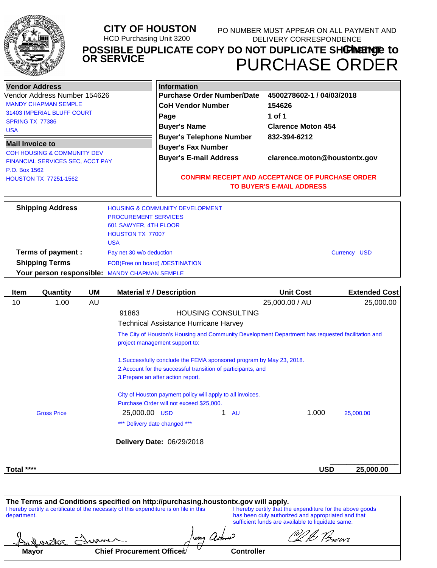

#### **CITY OF HOUSTON** HCD Purchasing Unit 3200 **POSSIBLE DUPLICATE COPY DO NOT DUPLICATE SH<b>ŒIMENTE** to PURCHASE ORDER **OR SERVICE** PO NUMBER MUST APPEAR ON ALL PAYMENT AND DELIVERY CORRESPONDENCE

| <b>Vendor Address</b><br>Vendor Address Number 154626<br><b>MANDY CHAPMAN SEMPLE</b><br>31403 IMPERIAL BLUFF COURT<br>SPRING TX 77386<br><b>USA</b>   |                                                                                               | <b>Information</b><br><b>Purchase Order Number/Date</b><br><b>CoH Vendor Number</b><br>Page<br><b>Buyer's Name</b><br><b>Buyer's Telephone Number</b> | 4500278602-1 / 04/03/2018<br>154626<br>1 of 1<br><b>Clarence Moton 454</b><br>832-394-6212                                  |  |
|-------------------------------------------------------------------------------------------------------------------------------------------------------|-----------------------------------------------------------------------------------------------|-------------------------------------------------------------------------------------------------------------------------------------------------------|-----------------------------------------------------------------------------------------------------------------------------|--|
| <b>Mail Invoice to</b><br><b>COH HOUSING &amp; COMMUNITY DEV</b><br>FINANCIAL SERVICES SEC, ACCT PAY<br>P.O. Box 1562<br><b>HOUSTON TX 77251-1562</b> |                                                                                               | <b>Buyer's Fax Number</b><br><b>Buyer's E-mail Address</b>                                                                                            | clarence.moton@houstontx.gov<br><b>CONFIRM RECEIPT AND ACCEPTANCE OF PURCHASE ORDER</b><br><b>TO BUYER'S E-MAIL ADDRESS</b> |  |
| <b>Shipping Address</b>                                                                                                                               | <b>PROCUREMENT SERVICES</b><br>601 SAWYER, 4TH FLOOR<br><b>HOUSTON TX 77007</b><br><b>USA</b> | <b>HOUSING &amp; COMMUNITY DEVELOPMENT</b>                                                                                                            |                                                                                                                             |  |
| Terms of payment :<br><b>Shipping Terms</b>                                                                                                           | Pay net 30 w/o deduction                                                                      | FOB(Free on board) /DESTINATION                                                                                                                       | Currency USD                                                                                                                |  |

**Your person responsible:** MANDY CHAPMAN SEMPLE

| <b>Item</b> | Quantity           | UM | <b>Material #/Description</b>                                        | <b>Unit Cost</b>                                                                                  | <b>Extended Cost</b> |
|-------------|--------------------|----|----------------------------------------------------------------------|---------------------------------------------------------------------------------------------------|----------------------|
| 10          | 1.00               | AU |                                                                      | 25,000.00 / AU                                                                                    | 25,000.00            |
|             |                    |    | 91863                                                                | <b>HOUSING CONSULTING</b>                                                                         |                      |
|             |                    |    | <b>Technical Assistance Hurricane Harvey</b>                         |                                                                                                   |                      |
|             |                    |    | project management support to:                                       | The City of Houston's Housing and Community Development Department has requested facilitation and |                      |
|             |                    |    | 1. Successfully conclude the FEMA sponsored program by May 23, 2018. |                                                                                                   |                      |
|             |                    |    | 2. Account for the successful transition of participants, and        |                                                                                                   |                      |
|             |                    |    | 3. Prepare an after action report.                                   |                                                                                                   |                      |
|             |                    |    | City of Houston payment policy will apply to all invoices.           |                                                                                                   |                      |
|             |                    |    | Purchase Order will not exceed \$25,000.                             |                                                                                                   |                      |
|             | <b>Gross Price</b> |    | 25,000.00 USD                                                        | 1.000<br>1.<br><b>AU</b>                                                                          | 25,000.00            |
|             |                    |    | *** Delivery date changed ***                                        |                                                                                                   |                      |
|             |                    |    | Delivery Date: 06/29/2018                                            |                                                                                                   |                      |
| Total ****  |                    |    |                                                                      | <b>USD</b>                                                                                        | 25,000.00            |

|              | The Terms and Conditions specified on http://purchasing.houstontx.gov will apply.      |                   |                                                                                                         |
|--------------|----------------------------------------------------------------------------------------|-------------------|---------------------------------------------------------------------------------------------------------|
|              | I hereby certify a certificate of the necessity of this expenditure is on file in this |                   | I hereby certify that the expenditure for the above goods                                               |
| department.  |                                                                                        |                   | has been duly authorized and appropriated and that<br>sufficient funds are available to liquidate same. |
|              | Sulvistor Summer.                                                                      | appro             | VI B. Perovi                                                                                            |
| <b>Mayor</b> | Chief Procurement Officer                                                              | <b>Controller</b> |                                                                                                         |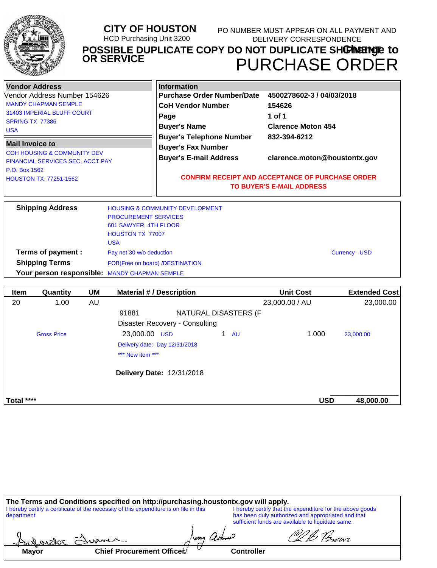|                                                                                  |                                                                                                                                                                         |           | <b>CITY OF HOUSTON</b><br><b>OR SERVICE</b>                                            | <b>HCD Purchasing Unit 3200</b>                                                                                                                                                |                                   | DELIVERY CORRESPONDENCE                                                                    | PO NUMBER MUST APPEAR ON ALL PAYMENT AND<br>POSSIBLE DUPLICATE COPY DO NOT DUPLICATE SHOPINEEMPLE to<br><b>PURCHASE ORDER</b> |
|----------------------------------------------------------------------------------|-------------------------------------------------------------------------------------------------------------------------------------------------------------------------|-----------|----------------------------------------------------------------------------------------|--------------------------------------------------------------------------------------------------------------------------------------------------------------------------------|-----------------------------------|--------------------------------------------------------------------------------------------|-------------------------------------------------------------------------------------------------------------------------------|
| <b>Vendor Address</b><br>SPRING TX 77386<br><b>USA</b><br><b>Mail Invoice to</b> | Vendor Address Number 154626<br><b>MANDY CHAPMAN SEMPLE</b><br>31403 IMPERIAL BLUFF COURT<br><b>COH HOUSING &amp; COMMUNITY DEV</b><br>FINANCIAL SERVICES SEC, ACCT PAY |           |                                                                                        | <b>Information</b><br><b>CoH Vendor Number</b><br>Page<br><b>Buyer's Name</b><br><b>Buyer's Telephone Number</b><br><b>Buyer's Fax Number</b><br><b>Buyer's E-mail Address</b> | <b>Purchase Order Number/Date</b> | 4500278602-3 / 04/03/2018<br>154626<br>1 of 1<br><b>Clarence Moton 454</b><br>832-394-6212 | clarence.moton@houstontx.gov                                                                                                  |
| P.O. Box 1562                                                                    | <b>HOUSTON TX 77251-1562</b>                                                                                                                                            |           |                                                                                        |                                                                                                                                                                                |                                   | <b>CONFIRM RECEIPT AND ACCEPTANCE OF PURCHASE ORDER</b><br>TO BUYER'S E-MAIL ADDRESS       |                                                                                                                               |
|                                                                                  | <b>Shipping Address</b>                                                                                                                                                 |           | <b>PROCUREMENT SERVICES</b><br>601 SAWYER, 4TH FLOOR<br>HOUSTON TX 77007<br><b>USA</b> | <b>HOUSING &amp; COMMUNITY DEVELOPMENT</b>                                                                                                                                     |                                   |                                                                                            |                                                                                                                               |
|                                                                                  | Terms of payment :                                                                                                                                                      |           | Pay net 30 w/o deduction                                                               |                                                                                                                                                                                |                                   |                                                                                            | <b>Currency USD</b>                                                                                                           |
|                                                                                  | <b>Shipping Terms</b>                                                                                                                                                   |           |                                                                                        | FOB(Free on board) /DESTINATION                                                                                                                                                |                                   |                                                                                            |                                                                                                                               |
|                                                                                  |                                                                                                                                                                         |           | Your person responsible: MANDY CHAPMAN SEMPLE                                          |                                                                                                                                                                                |                                   |                                                                                            |                                                                                                                               |
| Item                                                                             | Quantity                                                                                                                                                                | <b>UM</b> |                                                                                        | <b>Material # / Description</b>                                                                                                                                                |                                   | <b>Unit Cost</b>                                                                           | <b>Extended Cost</b>                                                                                                          |
| 20                                                                               | 1.00                                                                                                                                                                    | <b>AU</b> |                                                                                        |                                                                                                                                                                                |                                   | 23,000.00 / AU                                                                             | 23,000.00                                                                                                                     |
|                                                                                  |                                                                                                                                                                         |           | 91881                                                                                  |                                                                                                                                                                                | <b>NATURAL DISASTERS (F</b>       |                                                                                            |                                                                                                                               |

| ZU.        | 1.00               | AU. |                                  |                      | 23,000.00 / AU | 23,000.00 |
|------------|--------------------|-----|----------------------------------|----------------------|----------------|-----------|
|            |                    |     | 91881                            | NATURAL DISASTERS (F |                |           |
|            |                    |     | Disaster Recovery - Consulting   |                      |                |           |
|            | <b>Gross Price</b> |     | 23,000.00 USD                    | 1 $AU$               | 1.000          | 23,000.00 |
|            |                    |     | Delivery date: Day 12/31/2018    |                      |                |           |
|            |                    |     | *** New item ***                 |                      |                |           |
|            |                    |     | <b>Delivery Date: 12/31/2018</b> |                      |                |           |
|            |                    |     |                                  |                      |                |           |
| Total **** |                    |     |                                  |                      | <b>USD</b>     | 48,000.00 |
|            |                    |     |                                  |                      |                |           |

|                 | The Terms and Conditions specified on http://purchasing.houstontx.gov will apply.      |        |               |                                                                                                                                                                      |
|-----------------|----------------------------------------------------------------------------------------|--------|---------------|----------------------------------------------------------------------------------------------------------------------------------------------------------------------|
| department.     | I hereby certify a certificate of the necessity of this expenditure is on file in this |        |               | I hereby certify that the expenditure for the above goods<br>has been duly authorized and appropriated and that<br>sufficient funds are available to liquidate same. |
| Aulnister Elume |                                                                                        | arprox |               | VI B. Perovi                                                                                                                                                         |
|                 |                                                                                        |        | <b>A</b> 4 11 |                                                                                                                                                                      |

| Chief Procurement Officer<br><b>Mayor</b> | <b>Controller</b> |
|-------------------------------------------|-------------------|
|-------------------------------------------|-------------------|

 $\mathsf{l}$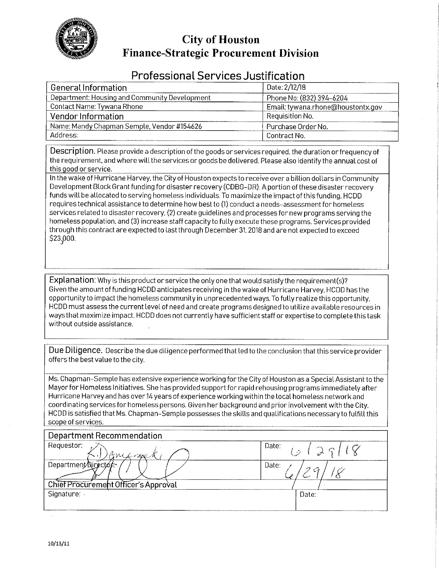

## **City of Houston Finance-Strategic Procurement Division**

## **Professional Services Justification**

| General Information                           | Date: 2/12/18                     |
|-----------------------------------------------|-----------------------------------|
| Department: Housing and Community Development | Phone No: (832) 394-6204          |
| Contact Name: Tywana Rhone                    | Email: tywana.rhone@houstontx.gov |
| Vendor Information                            | Requisition No.                   |
| Name: Mandy Chapman Semple, Vendor #154626    | Purchase Order No.                |
| Address:                                      | -Contract No.                     |

Description. Please provide a description of the goods or services required, the duration or frequency of the requirement, and where will the services or goods be delivered. Please also identify the annual cost of this good or service.

In the wake of Hurricane Harvey, the City of Houston expects to receive over a billion dollars in Community Development Block Grant funding for disaster recovery (CDBG-DR). A portion of these disaster recovery funds will be allocated to serving homeless individuals. To maximize the impact of this funding. HCDD requires technical assistance to determine how best to (1) conduct a needs-assessment for homeless services related to disaster recovery, (2) create guidelines and processes for new programs serving the homeless population, and (3) increase staff capacity to fully execute these programs. Services provided through this contract are expected to last through December 31, 2018 and are not expected to exceed \$23,000.

Explanation: Why is this product or service the only one that would satisfy the requirement(s)? Given the amount of funding HCDD anticipates receiving in the wake of Hurricane Harvey. HCDD has the opportunity to impact the homeless community in unprecedented ways. To fully realize this opportunity, HCDD must assess the current level of need and create programs designed to utilize available resources in ways that maximize impact. HCDD does not currently have sufficient staff or expertise to complete this task without outside assistance.

Due Diligence. Describe the due diligence performed that led to the conclusion that this service provider offers the best value to the city.

Ms. Chapman-Semple has extensive experience working for the City of Houston as a Special Assistant to the Mayor for Homeless Initiatives. She has provided support for rapid rehousing programs immediately after Hurricane Harvey and has over 14 years of experience working within the local homeless network and coordinating services for homeless persons. Given her background and prior involvement with the City, HCDD is satisfied that Ms. Chapman-Semple possesses the skills and qualifications necessary to fulfill this scope of services.

| Department Recommendation            |                    |
|--------------------------------------|--------------------|
| Requestor:<br>AMLARRY                | $1^{Date:}/(29/7)$ |
| Department Nirector                  | Date:              |
| Chief Procurement Officer's Approval |                    |
| Signature:                           | Date:              |
|                                      |                    |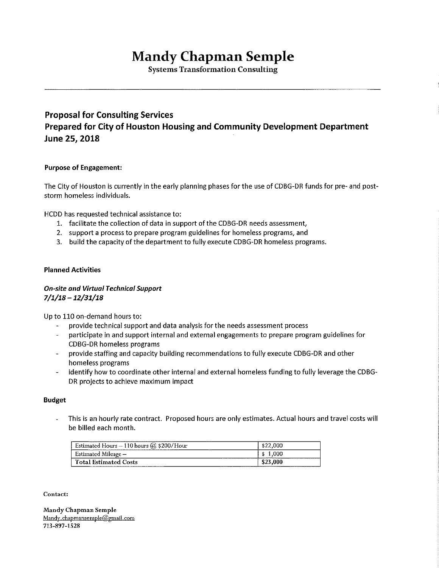# **Mandy Chapman Semple**

**Systems Transformation Consulting** 

## **Proposal for Consulting Services** Prepared for City of Houston Housing and Community Development Department June 25, 2018

## **Purpose of Engagement:**

The City of Houston is currently in the early planning phases for the use of CDBG-DR funds for pre- and poststorm homeless individuals.

HCDD has requested technical assistance to:

- 1. facilitate the collection of data in support of the CDBG-DR needs assessment,
- 2. support a process to prepare program guidelines for homeless programs, and
- 3. build the capacity of the department to fully execute CDBG-DR homeless programs.

#### **Planned Activities**

## **On-site and Virtual Technical Support**  $7/1/18 - 12/31/18$

Up to 110 on-demand hours to:

- provide technical support and data analysis for the needs assessment process
- $\overline{a}$ participate in and support internal and external engagements to prepare program guidelines for **CDBG-DR homeless programs**
- provide staffing and capacity building recommendations to fully execute CDBG-DR and other  $\omega_{\rm{max}}$ homeless programs
- identify how to coordinate other internal and external homeless funding to fully leverage the CDBG- $\mathbf{r}$ DR projects to achieve maximum impact

#### **Budget**

This is an hourly rate contract. Proposed hours are only estimates. Actual hours and travel costs will be billed each month.

| Estimated Hours $-110$ hours ( $\omega$ \$200/Hour            |              |
|---------------------------------------------------------------|--------------|
| Estimated Mileage -                                           | ------------ |
| <b>Total Estimated Costs</b><br>----------------------------- |              |

Contact:

Mandy Chapman Semple Mandy.chapmansemple@gmail.com 713-897-1528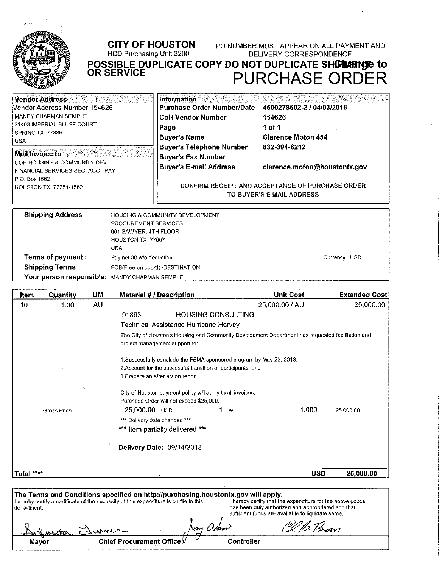

#### **CITY OF HOUSTON** PO NUMBER MUST APPEAR ON ALL PAYMENT AND HCD Purchasing Unit 3200 DELIVERY CORRESPONDENCE POSSIBLE DUPLICATE COPY DO NOT DUPLICATE SHOWERHOR to **OR SERVICE PURCHASE ORDER**

**Information Vendor Address Purchase Order Number/Date** 4500278602-2 / 04/03/2018 Vendor Address Number 154626 MANDY CHAPMAN SEMPLE **CoH Vendor Number** 154626 31403 IMPERIAL BLUFF COURT Page 1 of 1 SPRING TX 77386 **Buyer's Name Clarence Moton 454 USA** 832-394-6212 **Buyer's Telephone Number Mail Invoice to Buyer's Fax Number** COH HOUSING & COMMUNITY DEV **Buyer's E-mail Address** clarence.moton@houstontx.gov FINANCIAL SERVICES SEC, ACCT PAY P.O. Box 1562 CONFIRM RECEIPT AND ACCEPTANCE OF PURCHASE ORDER **HOUSTON TX 77251-1562**  $\sim$ TO BUYER'S E-MAIL ADDRESS

| <b>Shipping Address</b>                       | <b>HOUSING &amp; COMMUNITY DEVELOPMENT</b> |  |  |
|-----------------------------------------------|--------------------------------------------|--|--|
|                                               | PROCUREMENT SERVICES                       |  |  |
|                                               | 601 SAWYER, 4TH FLOOR                      |  |  |
|                                               | HOUSTON TX 77007                           |  |  |
|                                               | USA                                        |  |  |
| <b>Terms of payment:</b>                      | Currency USD<br>Pay net 30 w/o deduction   |  |  |
| <b>Shipping Terms</b>                         | FOB(Free on board) /DESTINATION            |  |  |
| Your person responsible: MANDY CHAPMAN SEMPLE |                                            |  |  |

| Item        | Quantity           | <b>UM</b> | <b>Material # / Description</b>                                                                                                                                             | <b>Unit Cost</b>                                                                                                                                                     | <b>Extended Cost</b> |
|-------------|--------------------|-----------|-----------------------------------------------------------------------------------------------------------------------------------------------------------------------------|----------------------------------------------------------------------------------------------------------------------------------------------------------------------|----------------------|
| 10          | 1.00               | <b>AU</b> |                                                                                                                                                                             | 25,000.00 / AU                                                                                                                                                       | 25,000.00            |
|             |                    |           | 91863<br><b>HOUSING CONSULTING</b>                                                                                                                                          |                                                                                                                                                                      |                      |
|             |                    |           | Technical Assistance Hurricane Harvey                                                                                                                                       |                                                                                                                                                                      |                      |
|             |                    |           | The City of Houston's Housing and Community Development Department has requested facilitation and<br>project management support to:                                         |                                                                                                                                                                      |                      |
|             |                    |           | 1. Successfully conclude the FEMA sponsored program by May 23, 2018.                                                                                                        |                                                                                                                                                                      |                      |
|             |                    |           | 2. Account for the successful transition of participants, and                                                                                                               |                                                                                                                                                                      |                      |
|             |                    |           | 3. Prepare an after action report.                                                                                                                                          |                                                                                                                                                                      |                      |
|             |                    |           | City of Houston payment policy will apply to all invoices.<br>Purchase Order will not exceed \$25,000.                                                                      |                                                                                                                                                                      |                      |
|             | <b>Gross Price</b> |           | 25,000.00 USD<br>1<br>AU                                                                                                                                                    | 1.000                                                                                                                                                                | 25,000.00            |
|             |                    |           | *** Delivery date changed ***                                                                                                                                               |                                                                                                                                                                      |                      |
|             |                    |           | *** Item partially delivered ***                                                                                                                                            |                                                                                                                                                                      |                      |
|             |                    |           | Delivery Date: 09/14/2018                                                                                                                                                   |                                                                                                                                                                      |                      |
| Total ****  |                    |           |                                                                                                                                                                             | <b>USD</b>                                                                                                                                                           | 25,000.00            |
| department. |                    |           | The Terms and Conditions specified on http://purchasing.houstontx.gov will apply.<br>I hereby certify a certificate of the necessity of this expenditure is on file in this | I hereby certify that the expenditure for the above goods<br>has been duly authorized and appropriated and that<br>sufficient funds are available to liquidate same. |                      |
|             |                    |           | \mg U                                                                                                                                                                       |                                                                                                                                                                      |                      |
|             |                    |           | Chief Procurament Office                                                                                                                                                    | Controllar                                                                                                                                                           |                      |

Controller

Chief Procurement Officet

Mayor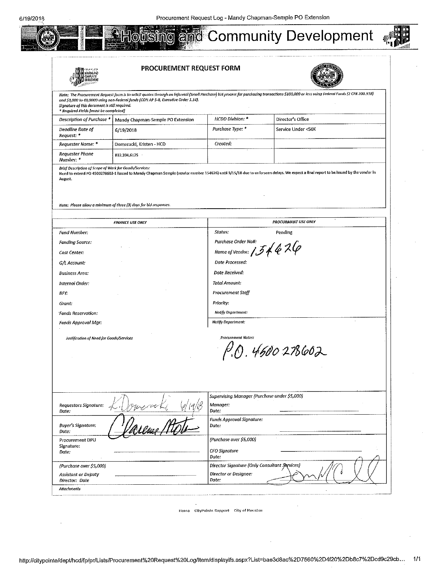

| <b>JSYGANO</b>                                                                         | PROCUREMENT REQUEST FORM                                                           |                                                                        |                                                                                                                                                                                                                                                                    |
|----------------------------------------------------------------------------------------|------------------------------------------------------------------------------------|------------------------------------------------------------------------|--------------------------------------------------------------------------------------------------------------------------------------------------------------------------------------------------------------------------------------------------------------------|
| Signature of this document is still required.<br>* Required Fields [must be completed] | and \$3,000 to 49,0000 using non-Federal funds (COH AP 5-8, Executive Order 1.14). |                                                                        | Note: The Procurement Request form is to solicit quotes through an informal (Small Purchase) bid process for purchasing transactions \$100,000 or less using Federal Funds (2 CFR 200.318)                                                                         |
| Description of Purchase *                                                              | Mandy Chapman-Semple PO Extension                                                  | HCDD Division: *                                                       | Director's Office                                                                                                                                                                                                                                                  |
| Deadline Date of<br>Request: *                                                         | 6/19/2018                                                                          | Purchase Type: *                                                       | Service Under <50K                                                                                                                                                                                                                                                 |
| Requester Name: *                                                                      | Domeracki, Kristen - HCD                                                           | Created:                                                               |                                                                                                                                                                                                                                                                    |
| <b>Requester Phone</b><br>Number: *                                                    | 832.394.6125                                                                       |                                                                        |                                                                                                                                                                                                                                                                    |
| August.                                                                                | Note: Please allow a minimum of three (3) days for bid responses.                  |                                                                        | Need to extend PO 4500278602-1 issued to Mandy Chapman Semple (vendor number 154626) until 9/15/18 due to unforseen defays. We expect a final report to be issued by the vendor in                                                                                 |
|                                                                                        | <b>FINANCE USE ONLY</b>                                                            |                                                                        | <b>PROCURMENT USE ONLY</b>                                                                                                                                                                                                                                         |
| Fund Number:                                                                           |                                                                                    | Status:                                                                | Pending                                                                                                                                                                                                                                                            |
| <b>Funding Source:</b>                                                                 |                                                                                    | Purchase Order Nott:                                                   |                                                                                                                                                                                                                                                                    |
| Cost Center:                                                                           |                                                                                    | Name of Vendor: $1546$ $26$                                            |                                                                                                                                                                                                                                                                    |
| G/L Account.                                                                           |                                                                                    | Date Processed:                                                        |                                                                                                                                                                                                                                                                    |
| <b>Business Area:</b>                                                                  |                                                                                    | Date Received:                                                         |                                                                                                                                                                                                                                                                    |
| Internal Order:                                                                        |                                                                                    | Total Amount:                                                          |                                                                                                                                                                                                                                                                    |
| BFY:                                                                                   |                                                                                    | <b>Procurement Staff</b>                                               |                                                                                                                                                                                                                                                                    |
| Grant:                                                                                 |                                                                                    | Priority:                                                              |                                                                                                                                                                                                                                                                    |
| <b>Funds Reservation.</b>                                                              |                                                                                    | Notify Department:                                                     |                                                                                                                                                                                                                                                                    |
| Funds Approval Mgr:                                                                    |                                                                                    | <b>Notify Department:</b>                                              |                                                                                                                                                                                                                                                                    |
| Justification of Need for Goods/Services                                               |                                                                                    | <b>Procurement Notes:</b>                                              |                                                                                                                                                                                                                                                                    |
|                                                                                        |                                                                                    |                                                                        | $f'$ , $f'$ , $f'$ , $f'$ , $f'$ , $f'$ , $f'$ , $f'$ , $f'$ , $f'$ , $f'$ , $f'$ , $f'$ , $f'$ , $f'$ , $f'$ , $f'$ , $f'$ , $f'$ , $f'$ , $f'$ , $f'$ , $f'$ , $f'$ , $f'$ , $f'$ , $f'$ , $f'$ , $f'$ , $f'$ , $f'$ , $f'$ , $f'$ , $f'$ , $f'$ , $f'$ , $f'$ , |
|                                                                                        |                                                                                    |                                                                        |                                                                                                                                                                                                                                                                    |
|                                                                                        |                                                                                    |                                                                        |                                                                                                                                                                                                                                                                    |
|                                                                                        |                                                                                    |                                                                        |                                                                                                                                                                                                                                                                    |
|                                                                                        |                                                                                    | Supervising Manager (Purchase under \$5,000)                           |                                                                                                                                                                                                                                                                    |
| Requestors Signature:                                                                  |                                                                                    | Manager:                                                               |                                                                                                                                                                                                                                                                    |
| Dote:                                                                                  |                                                                                    | Date:<br>Funds Approval Signature:                                     |                                                                                                                                                                                                                                                                    |
|                                                                                        |                                                                                    | Date.                                                                  |                                                                                                                                                                                                                                                                    |
|                                                                                        |                                                                                    |                                                                        |                                                                                                                                                                                                                                                                    |
|                                                                                        |                                                                                    | (Purchase over \$5,000)                                                |                                                                                                                                                                                                                                                                    |
| <b>Buyer's Signature.</b><br>Date:<br>Procurement DPU<br>Signature:<br>Date:           |                                                                                    | CFO Signature                                                          |                                                                                                                                                                                                                                                                    |
|                                                                                        |                                                                                    | Date:                                                                  |                                                                                                                                                                                                                                                                    |
| (Purchase over \$5,000)<br><b>Assistant or Deputy</b>                                  |                                                                                    | Director Signature (Only Consultant Sarvices)<br>Director or Designee: |                                                                                                                                                                                                                                                                    |

Home CityPointe Support City of Houston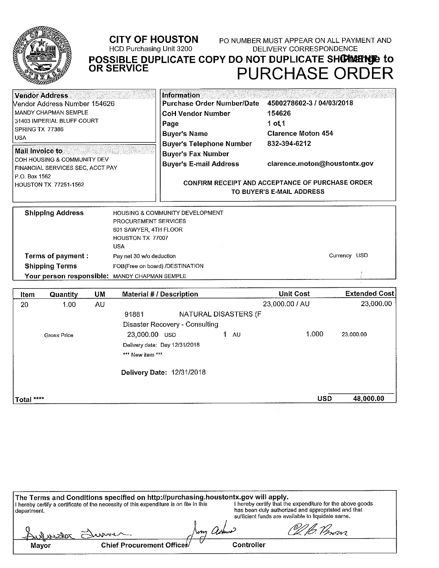

## **CITY OF HOUSTON** HCD Purchasing Unit 3200

PO NUMBER MUST APPEAR ON ALL PAYMENT AND **DELIVERY CORRESPONDENCE** 

POSSIBLE DUPLICATE COPY DO NOT DUPLICATE SHOWENCE **PURCHASE ORDER** 

| Vendor Address<br>Nendor Address Number 154626                                             | Information<br><b>Purchase Order Number/Date</b>                                              | 4500278602-3 / 04/03/2018                                                            |  |
|--------------------------------------------------------------------------------------------|-----------------------------------------------------------------------------------------------|--------------------------------------------------------------------------------------|--|
| <b>MANDY CHAPMAN SEMPLE</b><br>31403 IMPERIAL BLUFF COURT<br>SPRING TX 77386<br><b>USA</b> | <b>CoH Vendor Number</b><br>Page<br><b>Buyer's Name</b>                                       | 154626<br>1 of 1<br><b>Clarence Moton 454</b>                                        |  |
| Mail Invoice to<br>l COH HOUSING & COMMUNITY DEV<br>FINANCIAL SERVICES SEC, ACCT PAY       | <b>Buyer's Telephone Number</b><br><b>Buyer's Fax Number</b><br><b>Buyer's E-mail Address</b> | 832-394-6212<br>clarence.moton@houstontx.gov                                         |  |
| P.O. Box 1562<br>HOUSTON TX 77251-1562                                                     |                                                                                               | <b>CONFIRM RECEIPT AND ACCEPTANCE OF PURCHASE ORDER</b><br>TO BUYER'S E-MAIL ADDRESS |  |
| <b>Shipping Address</b><br>PROCUREMENT SERVICES                                            | <b>HOUSING &amp; COMMUNITY DEVELOPMENT</b>                                                    |                                                                                      |  |

|                                               | PROCUREMENT SERVICES            |              |  |
|-----------------------------------------------|---------------------------------|--------------|--|
|                                               | 601 SAWYER, 4TH FLOOR           |              |  |
|                                               | <b>HOUSTON TX 77007</b>         |              |  |
|                                               | <b>USA</b>                      |              |  |
| Terms of payment :                            | Pay net 30 w/o deduction        | Currency USD |  |
| <b>Shipping Terms</b>                         | FOB(Free on board) /DESTINATION |              |  |
| Your person responsible: MANDY CHAPMAN SEMPLE |                                 |              |  |

| Item       | <b>Quantity</b> | <b>UM</b> | <b>Material # / Description</b> |                      | <b>Unit Cost</b> | <b>Extended Cost</b> |
|------------|-----------------|-----------|---------------------------------|----------------------|------------------|----------------------|
| 20         | 1.00            | AU        |                                 |                      | 23,000.00 / AU   | 23,000.00            |
|            |                 |           | 91881                           | NATURAL DISASTERS (F |                  |                      |
|            |                 |           | Disaster Recovery - Consulting  |                      |                  |                      |
|            | Gross Price     |           | 23,000.00 USD                   | AU                   | 1.000            | 23.000.00            |
|            |                 |           | Delivery date: Day 12/31/2018   |                      |                  |                      |
|            |                 |           | *** New item ***                |                      |                  |                      |
|            |                 |           | Delivery Date: 12/31/2018       |                      |                  |                      |
| Total **** |                 |           |                                 |                      | <b>USD</b>       | 48,000.00            |

|               | The Terms and Conditions specified on http://purchasing.houstontx.gov will apply.      |            |                                                                                                                                                                      |  |
|---------------|----------------------------------------------------------------------------------------|------------|----------------------------------------------------------------------------------------------------------------------------------------------------------------------|--|
| l department. | I hereby certify a certificate of the necessity of this expenditure is on file in this |            | I hereby certify that the expenditure for the above goods<br>has been duly authorized and appropriated and that<br>sufficient funds are available to liquidate same. |  |
|               | Aulmedor Summer                                                                        | topma      | VI B. Person                                                                                                                                                         |  |
| Mayor         | Chief Procurement Officer                                                              | Controller |                                                                                                                                                                      |  |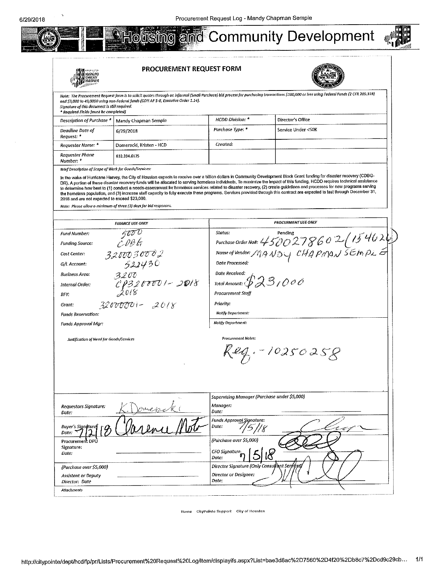

**PROCUREMENT REQUEST FORM** 



Note: The Procurement Request form is to solicit quotes through on informal (Small Purchase) bid process for purchasing transactions \$100,000 or less using Federal Funds (2 CFR 200.318) and \$3,000 to 49,0000 using non-Federal funds (COH AP 5-8, Executive Order 1.14). Signature of this document is still required. .<br>Required Fields Imust he completed!

| regament report provides to compress the |                                                  |                         |                     |  |
|------------------------------------------|--------------------------------------------------|-------------------------|---------------------|--|
|                                          | Description of Purchase *   Mandy Chapman Semple | <b>HCDD Division.</b> * | ' Director's Office |  |
| Deadline Date of<br>Request: *           | 6/29/2018                                        | Purchase Type: *        | Service Under <50K  |  |
| Reauester Name: *                        | Domeracki, Kristen - HCD                         | Created.                |                     |  |
| Requester Phone<br>Number. <sup>*</sup>  | 832 394 6125                                     |                         |                     |  |

Brief Description of Scope of Work for Goods/Services:

In the wake of Hurricane Harvey, the City of Houston expects to receive over a billion dollars in Community Development Block Grant funding for disaster recovery (CDBG-DR). A portion of these disaster recovery funds will be allocated to serving homeless individuals. To maximize the limpact of this funding, HCDD requires technical assistance<br>to determine how best to (1) conduct a needs-as the homeless population, and (3) increase staff capacity to fully execute these programs. Services provided through this contract are expected to last through December 31, 2018 and are not expected to exceed \$23,000.

Note: Please allow a minimum of three (3) days far bid responses.

| <b>FINANCE USE ONLY</b>                      | <b>PROCURMENT USE ONLY</b>                                                                             |
|----------------------------------------------|--------------------------------------------------------------------------------------------------------|
| 500 0<br><b>Fund Number:</b>                 | Status:<br>Pending<br>Purchase Order Not: $4500278602(154620)$<br>Name of Vendor: MANDY CHAPMAN SEMPLE |
| E 00 G<br><b>Funding Source:</b>             |                                                                                                        |
| 3200030002<br>Cost Center:                   |                                                                                                        |
| 522430<br>G/L Account:                       | Date Processed:                                                                                        |
| Business Area.<br>3200                       | Date Received:                                                                                         |
| 013200001-2018<br>Internal Order:            | Total Amount: $\mathcal{GLS}_{1}\mathcal{O}\mathcal{O}\mathcal{O}$                                     |
| BFY:                                         | Procurement Staff                                                                                      |
| $32000001 - 2018$<br>Grant:                  | Priority:                                                                                              |
| <b>Funds Reservation:</b>                    | Notify Department:                                                                                     |
| Funds Approval Mar:                          | Notify Department:                                                                                     |
|                                              | $Keg - 10250258$                                                                                       |
|                                              | Supervising Manager (Purchase under \$5,000)                                                           |
| Requestors Signature:<br>menN<br>Date:       | Manager:<br>Date:                                                                                      |
| Buyer's Sign@ture<br>Date.                   | Funds Approval Signature:<br>Date:                                                                     |
| Procurement DPU                              | (Purchase over \$5,000)                                                                                |
| Signature:<br>Date:                          | CFO Signature:<br>Date:                                                                                |
| (Purchase over \$5,000)                      | Director Signature (Only Consultont Servij                                                             |
| <b>Assistant or Deputy</b><br>Director: Date | <b>Director or Designee:</b><br>Date:                                                                  |
| Attachments                                  |                                                                                                        |

Home CityPointe Support City of Houston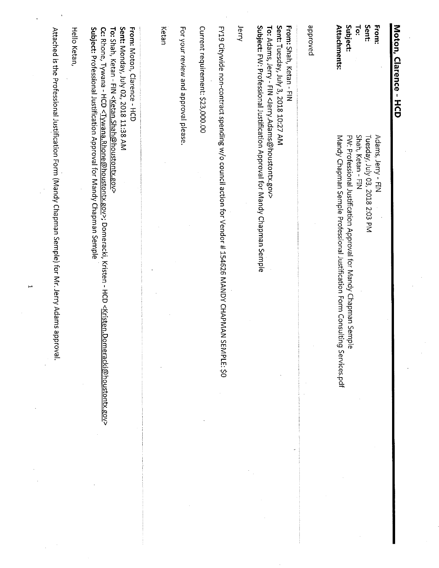| Moton, Clarence - HCD                                                                                                                                     |                                                                                                                                                                                                                                                    |
|-----------------------------------------------------------------------------------------------------------------------------------------------------------|----------------------------------------------------------------------------------------------------------------------------------------------------------------------------------------------------------------------------------------------------|
| <b>From:</b>                                                                                                                                              | Adams, Jerry - FIN                                                                                                                                                                                                                                 |
| Sent:                                                                                                                                                     | Tuesday, July 03, 2018 2:03 PM                                                                                                                                                                                                                     |
| Fe:                                                                                                                                                       | Shah, Ketan - FIN                                                                                                                                                                                                                                  |
| Subject:                                                                                                                                                  | FW: Professional Justification Approval for Mandy Chapman Se<br>mple                                                                                                                                                                               |
| <b>Attachments:</b>                                                                                                                                       | Mandy Chapman Semple Professional Justification Form Consulting Services.pdf                                                                                                                                                                       |
| peroved                                                                                                                                                   |                                                                                                                                                                                                                                                    |
| Sent: Tuesday, July 3, 2018 10:27 AM<br>To: Adams, Jerry - FIN <jerry.adams@houstontx.gov><br/><b>From: Shah, Ketan - FIN</b></jerry.adams@houstontx.gov> | Subject: FW: Professional Justification Approval for Mandy Chapman Semple                                                                                                                                                                          |
| lerry                                                                                                                                                     |                                                                                                                                                                                                                                                    |
|                                                                                                                                                           | FY19 Citywide non-contract spending w/o council action for Vendor # 154626 MANDY CHAPMAI<br>N SEMPLE: \$0                                                                                                                                          |
| Current requirement: \$23,000.00                                                                                                                          |                                                                                                                                                                                                                                                    |
| For your review and approval please                                                                                                                       |                                                                                                                                                                                                                                                    |
| Ketan                                                                                                                                                     |                                                                                                                                                                                                                                                    |
| Sent: Monday, July 02, 2018 11:38 AM<br><b>From: Moton, Clarence - HCD</b><br>To: Shah, Ketan - FIN <ketan.shah@houstontx.gov></ketan.shah@houstontx.gov> | Subject: Professional Justification Approval for Mandy Chapman Semple<br>Cc: Rhone, Tywana - HCD <tywana.rhone@houstontx.gov>; Domeracki, Kristen - HCD <kristen.<br><u>Domeracki@houstontx.gov</u>&gt;</kristen.<br></tywana.rhone@houstontx.gov> |
| <b>Hello Ketan</b>                                                                                                                                        |                                                                                                                                                                                                                                                    |
|                                                                                                                                                           | Attached is the Professional Justification Form (Mandy Chapman Semple) for Mr. Jerry Adams approval.                                                                                                                                               |

 $\frac{1}{2}$ 

 $\overline{a}$ 

 $\bar{\gamma}$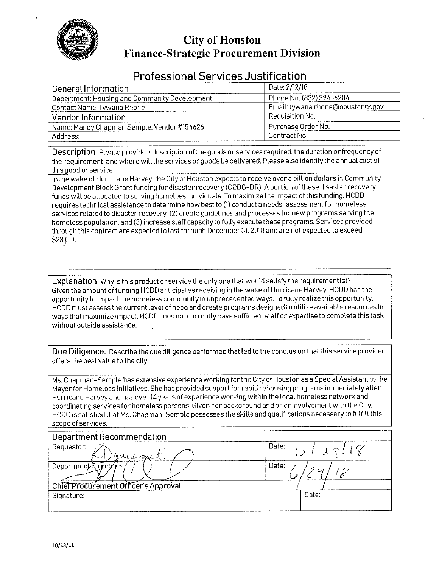

## **City of Houston Finance-Strategic Procurement Division**

## **Professional Services Justification**

| Date: 2/12/18                     |  |  |  |
|-----------------------------------|--|--|--|
| Phone No: (832) 394-6204          |  |  |  |
| Email: tywana.rhone@houstontx.gov |  |  |  |
| Requisition No.                   |  |  |  |
| Purchase Order No.                |  |  |  |
| Contract No.                      |  |  |  |
|                                   |  |  |  |

Description. Please provide a description of the goods or services required, the duration or frequency of the requirement, and where will the services or goods be delivered. Please also identify the annual cost of this good or service.

In the wake of Hurricane Harvey, the City of Houston expects to receive over a billion dollars in Community Development Block Grant funding for disaster recovery (CDBG-DR). A portion of these disaster recovery funds will be allocated to serving homeless individuals. To maximize the impact of this funding, HCDD requires technical assistance to determine how best to (1) conduct a needs-assessment for homeless services related to disaster recovery, (2) create guidelines and processes for new programs serving the homeless population, and (3) increase staff capacity to fully execute these programs. Services provided through this contract are expected to last through December 31, 2018 and are not expected to exceed \$23,000.

Explanation: Why is this product or service the only one that would satisfy the requirement(s)? Given the amount of funding HCDD anticipates receiving in the wake of Hurricane Harvey, HCDD has the opportunity to impact the homeless community in unprecedented ways. To fully realize this opportunity, HCDD must assess the current level of need and create programs designed to utilize available resources in ways that maximize impact. HCDD does not currently have sufficient staff or expertise to complete this task without outside assistance.

Due Diligence. Describe the due diligence performed that led to the conclusion that this service provider offers the best value to the city.

Ms. Chapman-Semple has extensive experience working for the City of Houston as a Special Assistant to the Mayor for Homeless Initiatives. She has provided support for rapid rehousing programs immediately after Hurricane Harvey and has over 14 years of experience working within the local homeless network and coordinating services for homeless persons. Given her background and prior involvement with the City, HCDD is satisfied that Ms. Chapman-Semple possesses the skills and qualifications necessary to fulfill this scope of services.

| Department Recommendation            |                  |
|--------------------------------------|------------------|
| Requestor:<br>me no                  | Date:<br>6129118 |
| Department Director                  | Date:            |
| Chief Procurement Officer's Approval |                  |
| Signature: .                         | Date:            |
|                                      |                  |

 $\cdot$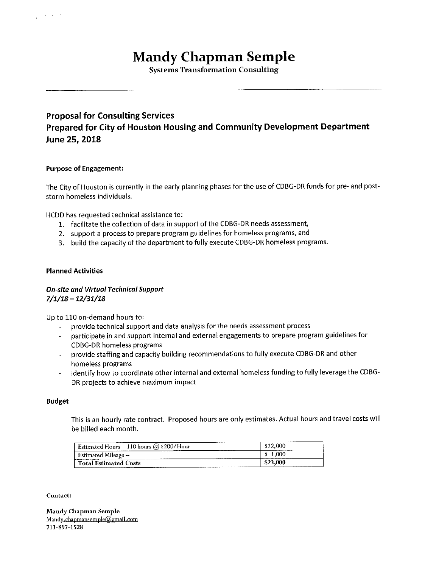# **Mandy Chapman Semple**

**Systems Transformation Consulting** 

## **Proposal for Consulting Services** Prepared for City of Houston Housing and Community Development Department June 25, 2018

## **Purpose of Engagement:**

 $\mathcal{L}_{\mathrm{H}}$  ,  $\mathcal{L}_{\mathrm{H}}$  ,  $\mathcal{L}_{\mathrm{H}}$ 

The City of Houston is currently in the early planning phases for the use of CDBG-DR funds for pre- and poststorm homeless individuals.

HCDD has requested technical assistance to:

- 1. facilitate the collection of data in support of the CDBG-DR needs assessment,
- 2. support a process to prepare program guidelines for homeless programs, and
- 3. build the capacity of the department to fully execute CDBG-DR homeless programs.

#### **Planned Activities**

## **On-site and Virtual Technical Support**  $7/1/18 - 12/31/18$

Up to 110 on-demand hours to:

- provide technical support and data analysis for the needs assessment process
- participate in and support internal and external engagements to prepare program guidelines for  $\ddot{ }$ **CDBG-DR homeless programs**
- provide staffing and capacity building recommendations to fully execute CDBG-DR and other homeless programs
- identify how to coordinate other internal and external homeless funding to fully leverage the CDBG-DR projects to achieve maximum impact

#### **Budget**

This is an hourly rate contract. Proposed hours are only estimates. Actual hours and travel costs will L. be billed each month.

| ----------------<br>________<br>------------<br>Estimated Hours $-$ 110 hours @ \$200/Hour |                              |
|--------------------------------------------------------------------------------------------|------------------------------|
| -stimated Mileage -                                                                        | ---------------------------- |
| <b>Total Estimated Costs</b><br>-----------------<br>_________________                     | 94 J<br>______<br>--------   |

Contact:

Mandy Chapman Semple Mandy.chapmansemple@gmail.com 713-897-1528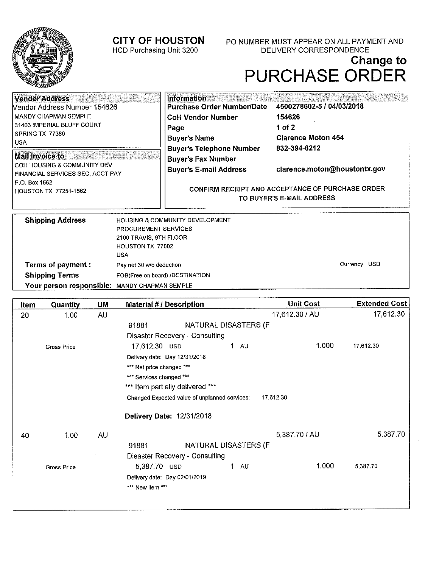## **CITY OF HOUSTON**

HCD Purchasing Unit 3200

PO NUMBER MUST APPEAR ON ALL PAYMENT AND DELIVERY CORRESPONDENCE

# Change to<br>PURCHASE ORDER

| <b>Vendor Address</b><br>Vendor Address Number 154626                                                                                     | Information<br>Purchase Order Number/Date                                                     | 4500278602-5 / 04/03/2018                     |  |
|-------------------------------------------------------------------------------------------------------------------------------------------|-----------------------------------------------------------------------------------------------|-----------------------------------------------|--|
| Í MANDY CHAPMAN SEMPLE<br>31403 IMPERIAL BLUFF COURT<br>SPRING TX 77386<br>i usa                                                          | <b>CoH Vendor Number</b><br>Page<br><b>Buyer's Name</b>                                       | 154626<br>1 of 2<br><b>Clarence Moton 454</b> |  |
| Mail Invoice to<br><b>COH HOUSING &amp; COMMUNITY DEV</b><br>FINANCIAL SERVICES SEC, ACCT PAY<br>I P.O. Box 1562<br>HOUSTON TX 77251-1562 | <b>Buyer's Telephone Number</b><br><b>Buyer's Fax Number</b><br><b>Buyer's E-mail Address</b> | 832-394-6212<br>clarence.moton@houstontx.gov  |  |
|                                                                                                                                           | CONFIRM RECEIPT AND ACCEPTANCE OF PURCHASE ORDER<br>TO BUYER'S E-MAIL ADDRESS                 |                                               |  |
| <b>Shipping Address</b>                                                                                                                   | HOUSING & COMMUNITY DEVELOPMENT                                                               |                                               |  |

| <b>Shipping Address</b>                       | HOUSING & COMMUNITY DEVELOPMENT |              |  |
|-----------------------------------------------|---------------------------------|--------------|--|
|                                               | <b>PROCUREMENT SERVICES</b>     |              |  |
|                                               | 2100 TRAVIS, 9TH FLOOR          |              |  |
|                                               | HOUSTON TX 77002                |              |  |
|                                               | USA                             |              |  |
| Terms of payment :                            | Pay net 30 w/o deduction        | Currency USD |  |
| <b>Shipping Terms</b>                         | FOB(Free on board) /DESTINATION |              |  |
| Your person responsible: MANDY CHAPMAN SEMPLE |                                 |              |  |
|                                               |                                 |              |  |

| ltem | Quantity           | UM | <b>Material # / Description</b>               | <b>Unit Cost</b> | <b>Extended Cost</b> |
|------|--------------------|----|-----------------------------------------------|------------------|----------------------|
| 20   | 1.00               | AU |                                               | 17,612.30 / AU   | 17,612.30            |
|      |                    |    | NATURAL DISASTERS (F<br>91881                 |                  |                      |
|      |                    |    | Disaster Recovery - Consulting                |                  |                      |
|      | <b>Gross Price</b> |    | 1.<br>17,612.30 USD<br><b>AU</b>              | 1.000            | 17,612.30            |
|      |                    |    | Delivery date: Day 12/31/2018                 |                  |                      |
|      |                    |    | *** Net price changed ***                     |                  |                      |
|      |                    |    | *** Services changed ***                      |                  |                      |
|      |                    |    | *** Item partially delivered ***              |                  |                      |
|      |                    |    | Changed Expected value of unplanned services: | 17,612.30        |                      |
|      |                    |    | Delivery Date: 12/31/2018                     |                  |                      |
| 40   | 1.00               | AU |                                               | 5,387.70 / AU    | 5,387.70             |
|      |                    |    | NATURAL DISASTERS (F<br>91881                 |                  |                      |
|      |                    |    | <b>Disaster Recovery - Consulting</b>         |                  |                      |
|      | Gross Price        |    | $1 \quad \text{AU}$<br>5,387.70 USD           | 1,000            | 5,387.70             |
|      |                    |    | Delivery date: Day 02/01/2019                 |                  |                      |
|      |                    |    | *** New item ***                              |                  |                      |
|      |                    |    |                                               |                  |                      |
|      |                    |    |                                               |                  |                      |